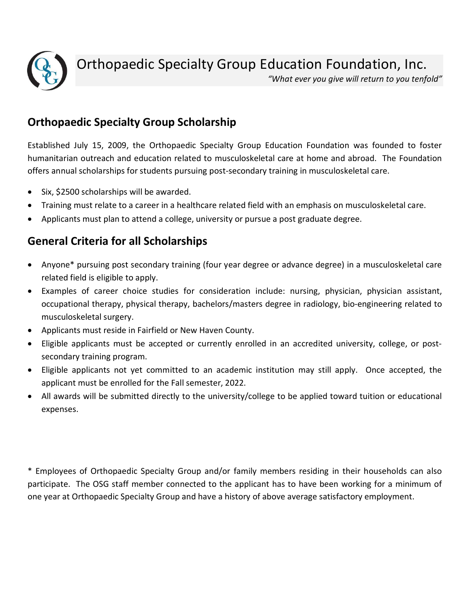

Orthopaedic Specialty Group Education Foundation, Inc.

*"What ever you give will return to you tenfold"* 

## **Orthopaedic Specialty Group Scholarship**

Established July 15, 2009, the Orthopaedic Specialty Group Education Foundation was founded to foster humanitarian outreach and education related to musculoskeletal care at home and abroad. The Foundation offers annual scholarships for students pursuing post-secondary training in musculoskeletal care.

- Six, \$2500 scholarships will be awarded.
- Training must relate to a career in a healthcare related field with an emphasis on musculoskeletal care.
- Applicants must plan to attend a college, university or pursue a post graduate degree.

## **General Criteria for all Scholarships**

- Anyone\* pursuing post secondary training (four year degree or advance degree) in a musculoskeletal care related field is eligible to apply.
- Examples of career choice studies for consideration include: nursing, physician, physician assistant, occupational therapy, physical therapy, bachelors/masters degree in radiology, bio-engineering related to musculoskeletal surgery.
- Applicants must reside in Fairfield or New Haven County.
- Eligible applicants must be accepted or currently enrolled in an accredited university, college, or postsecondary training program.
- Eligible applicants not yet committed to an academic institution may still apply. Once accepted, the applicant must be enrolled for the Fall semester, 2022.
- All awards will be submitted directly to the university/college to be applied toward tuition or educational expenses.

\* Employees of Orthopaedic Specialty Group and/or family members residing in their households can also participate. The OSG staff member connected to the applicant has to have been working for a minimum of one year at Orthopaedic Specialty Group and have a history of above average satisfactory employment.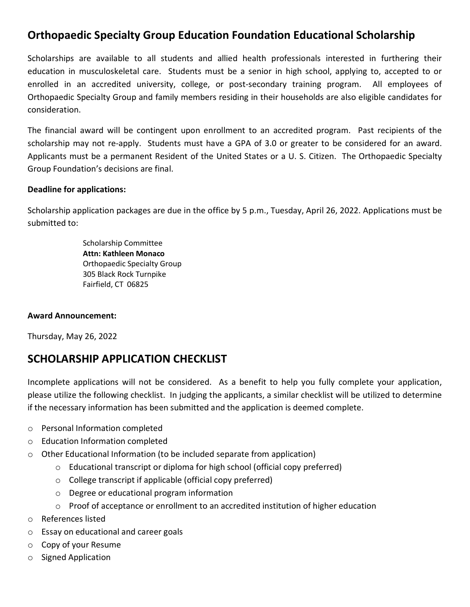## **Orthopaedic Specialty Group Education Foundation Educational Scholarship**

Scholarships are available to all students and allied health professionals interested in furthering their education in musculoskeletal care. Students must be a senior in high school, applying to, accepted to or enrolled in an accredited university, college, or post-secondary training program. All employees of Orthopaedic Specialty Group and family members residing in their households are also eligible candidates for consideration.

The financial award will be contingent upon enrollment to an accredited program. Past recipients of the scholarship may not re-apply. Students must have a GPA of 3.0 or greater to be considered for an award. Applicants must be a permanent Resident of the United States or a U. S. Citizen. The Orthopaedic Specialty Group Foundation's decisions are final.

### **Deadline for applications:**

Scholarship application packages are due in the office by 5 p.m., Tuesday, April 26, 2022. Applications must be submitted to:

> Scholarship Committee **Attn: Kathleen Monaco**  Orthopaedic Specialty Group 305 Black Rock Turnpike Fairfield, CT 06825

### **Award Announcement:**

Thursday, May 26, 2022

### **SCHOLARSHIP APPLICATION CHECKLIST**

Incomplete applications will not be considered. As a benefit to help you fully complete your application, please utilize the following checklist. In judging the applicants, a similar checklist will be utilized to determine if the necessary information has been submitted and the application is deemed complete.

- o Personal Information completed
- o Education Information completed
- $\circ$  Other Educational Information (to be included separate from application)
	- o Educational transcript or diploma for high school (official copy preferred)
	- o College transcript if applicable (official copy preferred)
	- o Degree or educational program information
	- o Proof of acceptance or enrollment to an accredited institution of higher education
- o References listed
- o Essay on educational and career goals
- o Copy of your Resume
- o Signed Application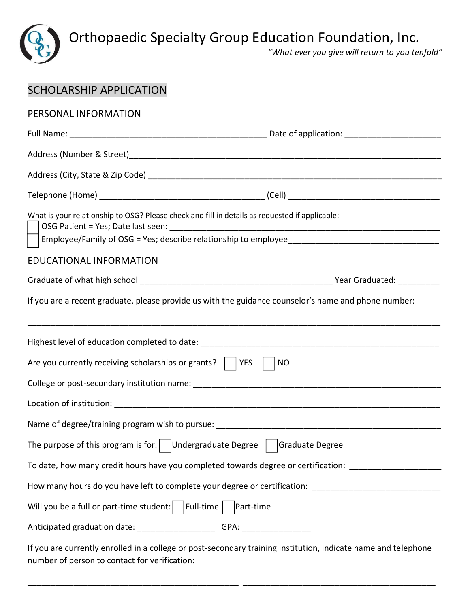

Orthopaedic Specialty Group Education Foundation, Inc.

*"What ever you give will return to you tenfold"* 

| PERSONAL INFORMATION                                                                                                                                            |  |  |
|-----------------------------------------------------------------------------------------------------------------------------------------------------------------|--|--|
|                                                                                                                                                                 |  |  |
|                                                                                                                                                                 |  |  |
|                                                                                                                                                                 |  |  |
|                                                                                                                                                                 |  |  |
| What is your relationship to OSG? Please check and fill in details as requested if applicable:                                                                  |  |  |
|                                                                                                                                                                 |  |  |
| EDUCATIONAL INFORMATION                                                                                                                                         |  |  |
|                                                                                                                                                                 |  |  |
| If you are a recent graduate, please provide us with the guidance counselor's name and phone number:                                                            |  |  |
|                                                                                                                                                                 |  |  |
| Are you currently receiving scholarships or grants? $\vert$   YES<br><b>NO</b>                                                                                  |  |  |
|                                                                                                                                                                 |  |  |
|                                                                                                                                                                 |  |  |
|                                                                                                                                                                 |  |  |
| The purpose of this program is for: $\bigcup$ Undergraduate Degree $\bigcup$ Graduate Degree                                                                    |  |  |
| To date, how many credit hours have you completed towards degree or certification: _______________________                                                      |  |  |
| How many hours do you have left to complete your degree or certification: ___________________________________                                                   |  |  |
| Will you be a full or part-time student: $\vert$   Full-time $\vert$   Part-time                                                                                |  |  |
| Anticipated graduation date: ________________________GPA: ______________________                                                                                |  |  |
| If you are currently enrolled in a college or post-secondary training institution, indicate name and telephone<br>number of person to contact for verification: |  |  |

\_\_\_\_\_\_\_\_\_\_\_\_\_\_\_\_\_\_\_\_\_\_\_\_\_\_\_\_\_\_\_\_\_\_\_\_\_\_\_\_\_\_\_\_\_\_ \_\_\_\_\_\_\_\_\_\_\_\_\_\_\_\_\_\_\_\_\_\_\_\_\_\_\_\_\_\_\_\_\_\_\_\_\_\_\_\_\_\_